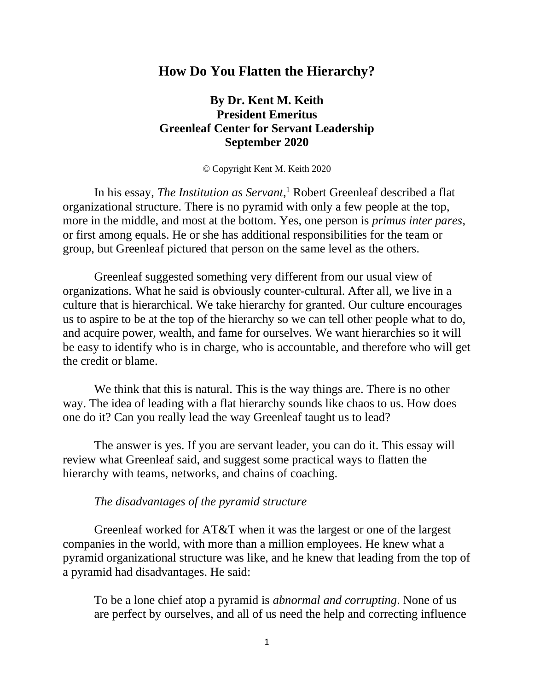### **How Do You Flatten the Hierarchy?**

# **By Dr. Kent M. Keith President Emeritus Greenleaf Center for Servant Leadership September 2020**

© Copyright Kent M. Keith 2020

In his essay, *The Institution as Servant*, <sup>1</sup> Robert Greenleaf described a flat organizational structure. There is no pyramid with only a few people at the top, more in the middle, and most at the bottom. Yes, one person is *primus inter pares*, or first among equals. He or she has additional responsibilities for the team or group, but Greenleaf pictured that person on the same level as the others.

Greenleaf suggested something very different from our usual view of organizations. What he said is obviously counter-cultural. After all, we live in a culture that is hierarchical. We take hierarchy for granted. Our culture encourages us to aspire to be at the top of the hierarchy so we can tell other people what to do, and acquire power, wealth, and fame for ourselves. We want hierarchies so it will be easy to identify who is in charge, who is accountable, and therefore who will get the credit or blame.

We think that this is natural. This is the way things are. There is no other way. The idea of leading with a flat hierarchy sounds like chaos to us. How does one do it? Can you really lead the way Greenleaf taught us to lead?

The answer is yes. If you are servant leader, you can do it. This essay will review what Greenleaf said, and suggest some practical ways to flatten the hierarchy with teams, networks, and chains of coaching.

#### *The disadvantages of the pyramid structure*

Greenleaf worked for AT&T when it was the largest or one of the largest companies in the world, with more than a million employees. He knew what a pyramid organizational structure was like, and he knew that leading from the top of a pyramid had disadvantages. He said:

To be a lone chief atop a pyramid is *abnormal and corrupting*. None of us are perfect by ourselves, and all of us need the help and correcting influence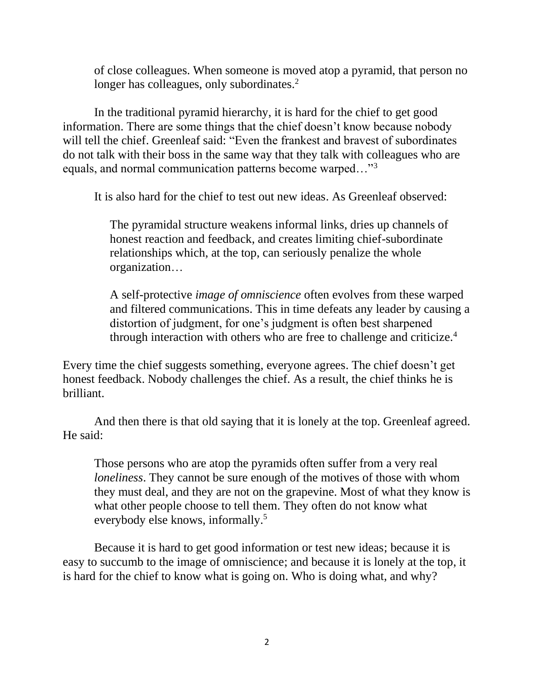of close colleagues. When someone is moved atop a pyramid, that person no longer has colleagues, only subordinates.<sup>2</sup>

In the traditional pyramid hierarchy, it is hard for the chief to get good information. There are some things that the chief doesn't know because nobody will tell the chief. Greenleaf said: "Even the frankest and bravest of subordinates do not talk with their boss in the same way that they talk with colleagues who are equals, and normal communication patterns become warped…"<sup>3</sup>

It is also hard for the chief to test out new ideas. As Greenleaf observed:

The pyramidal structure weakens informal links, dries up channels of honest reaction and feedback, and creates limiting chief-subordinate relationships which, at the top, can seriously penalize the whole organization…

A self-protective *image of omniscience* often evolves from these warped and filtered communications. This in time defeats any leader by causing a distortion of judgment, for one's judgment is often best sharpened through interaction with others who are free to challenge and criticize.<sup>4</sup>

Every time the chief suggests something, everyone agrees. The chief doesn't get honest feedback. Nobody challenges the chief. As a result, the chief thinks he is brilliant.

And then there is that old saying that it is lonely at the top. Greenleaf agreed. He said:

Those persons who are atop the pyramids often suffer from a very real *loneliness*. They cannot be sure enough of the motives of those with whom they must deal, and they are not on the grapevine. Most of what they know is what other people choose to tell them. They often do not know what everybody else knows, informally.<sup>5</sup>

Because it is hard to get good information or test new ideas; because it is easy to succumb to the image of omniscience; and because it is lonely at the top, it is hard for the chief to know what is going on. Who is doing what, and why?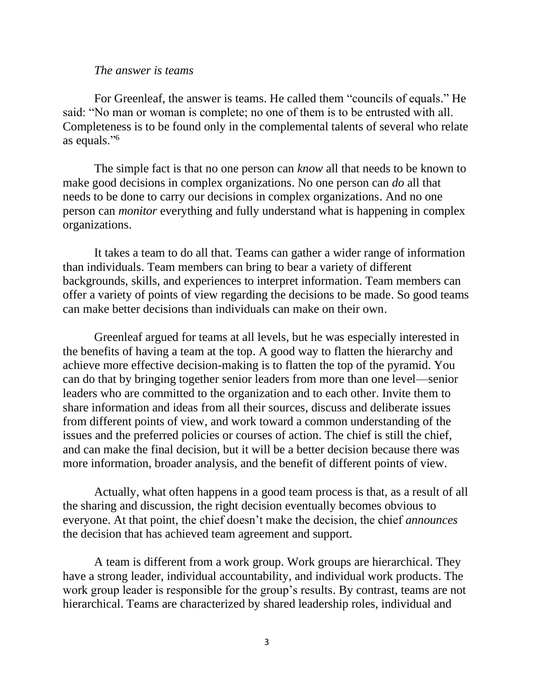#### *The answer is teams*

For Greenleaf, the answer is teams. He called them "councils of equals." He said: "No man or woman is complete; no one of them is to be entrusted with all. Completeness is to be found only in the complemental talents of several who relate as equals."<sup>6</sup>

The simple fact is that no one person can *know* all that needs to be known to make good decisions in complex organizations. No one person can *do* all that needs to be done to carry our decisions in complex organizations. And no one person can *monitor* everything and fully understand what is happening in complex organizations.

It takes a team to do all that. Teams can gather a wider range of information than individuals. Team members can bring to bear a variety of different backgrounds, skills, and experiences to interpret information. Team members can offer a variety of points of view regarding the decisions to be made. So good teams can make better decisions than individuals can make on their own.

Greenleaf argued for teams at all levels, but he was especially interested in the benefits of having a team at the top. A good way to flatten the hierarchy and achieve more effective decision-making is to flatten the top of the pyramid. You can do that by bringing together senior leaders from more than one level—senior leaders who are committed to the organization and to each other. Invite them to share information and ideas from all their sources, discuss and deliberate issues from different points of view, and work toward a common understanding of the issues and the preferred policies or courses of action. The chief is still the chief, and can make the final decision, but it will be a better decision because there was more information, broader analysis, and the benefit of different points of view.

Actually, what often happens in a good team process is that, as a result of all the sharing and discussion, the right decision eventually becomes obvious to everyone. At that point, the chief doesn't make the decision, the chief *announces* the decision that has achieved team agreement and support.

A team is different from a work group. Work groups are hierarchical. They have a strong leader, individual accountability, and individual work products. The work group leader is responsible for the group's results. By contrast, teams are not hierarchical. Teams are characterized by shared leadership roles, individual and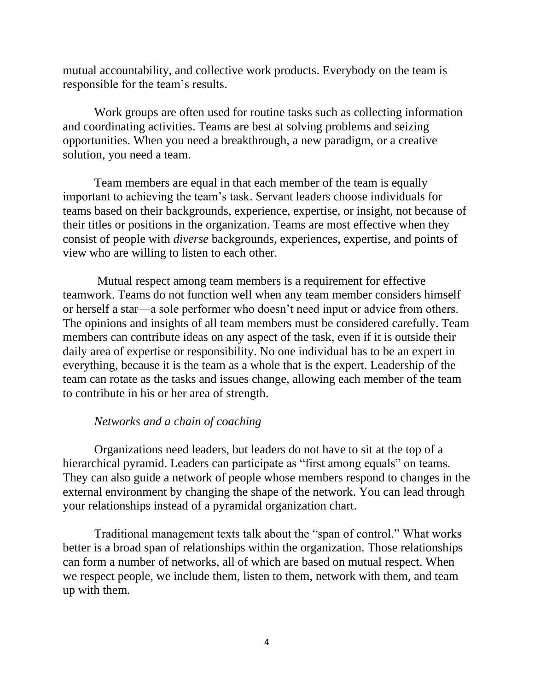mutual accountability, and collective work products. Everybody on the team is responsible for the team's results.

Work groups are often used for routine tasks such as collecting information and coordinating activities. Teams are best at solving problems and seizing opportunities. When you need a breakthrough, a new paradigm, or a creative solution, you need a team.

Team members are equal in that each member of the team is equally important to achieving the team's task. Servant leaders choose individuals for teams based on their backgrounds, experience, expertise, or insight, not because of their titles or positions in the organization. Teams are most effective when they consist of people with *diverse* backgrounds, experiences, expertise, and points of view who are willing to listen to each other.

Mutual respect among team members is a requirement for effective teamwork. Teams do not function well when any team member considers himself or herself a star—a sole performer who doesn't need input or advice from others. The opinions and insights of all team members must be considered carefully. Team members can contribute ideas on any aspect of the task, even if it is outside their daily area of expertise or responsibility. No one individual has to be an expert in everything, because it is the team as a whole that is the expert. Leadership of the team can rotate as the tasks and issues change, allowing each member of the team to contribute in his or her area of strength.

### *Networks and a chain of coaching*

Organizations need leaders, but leaders do not have to sit at the top of a hierarchical pyramid. Leaders can participate as "first among equals" on teams. They can also guide a network of people whose members respond to changes in the external environment by changing the shape of the network. You can lead through your relationships instead of a pyramidal organization chart.

Traditional management texts talk about the "span of control." What works better is a broad span of relationships within the organization. Those relationships can form a number of networks, all of which are based on mutual respect. When we respect people, we include them, listen to them, network with them, and team up with them.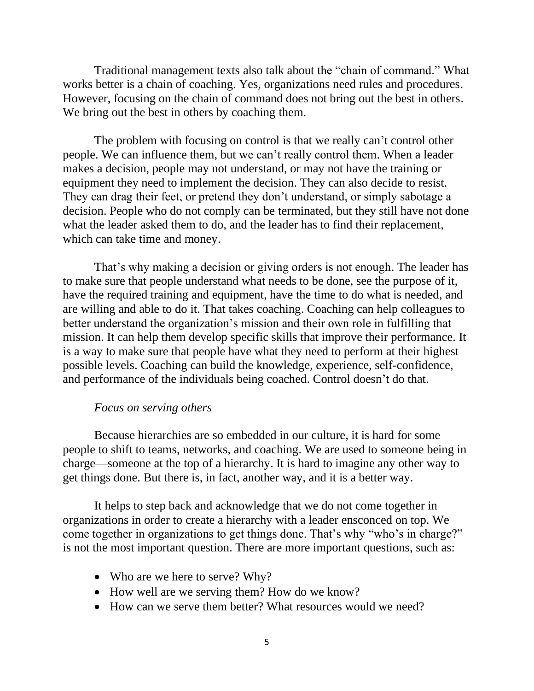Traditional management texts also talk about the "chain of command." What works better is a chain of coaching. Yes, organizations need rules and procedures. However, focusing on the chain of command does not bring out the best in others. We bring out the best in others by coaching them.

The problem with focusing on control is that we really can't control other people. We can influence them, but we can't really control them. When a leader makes a decision, people may not understand, or may not have the training or equipment they need to implement the decision. They can also decide to resist. They can drag their feet, or pretend they don't understand, or simply sabotage a decision. People who do not comply can be terminated, but they still have not done what the leader asked them to do, and the leader has to find their replacement, which can take time and money.

That's why making a decision or giving orders is not enough. The leader has to make sure that people understand what needs to be done, see the purpose of it, have the required training and equipment, have the time to do what is needed, and are willing and able to do it. That takes coaching. Coaching can help colleagues to better understand the organization's mission and their own role in fulfilling that mission. It can help them develop specific skills that improve their performance. It is a way to make sure that people have what they need to perform at their highest possible levels. Coaching can build the knowledge, experience, self-confidence, and performance of the individuals being coached. Control doesn't do that.

### *Focus on serving others*

Because hierarchies are so embedded in our culture, it is hard for some people to shift to teams, networks, and coaching. We are used to someone being in charge—someone at the top of a hierarchy. It is hard to imagine any other way to get things done. But there is, in fact, another way, and it is a better way.

It helps to step back and acknowledge that we do not come together in organizations in order to create a hierarchy with a leader ensconced on top. We come together in organizations to get things done. That's why "who's in charge?" is not the most important question. There are more important questions, such as:

- Who are we here to serve? Why?
- How well are we serving them? How do we know?
- How can we serve them better? What resources would we need?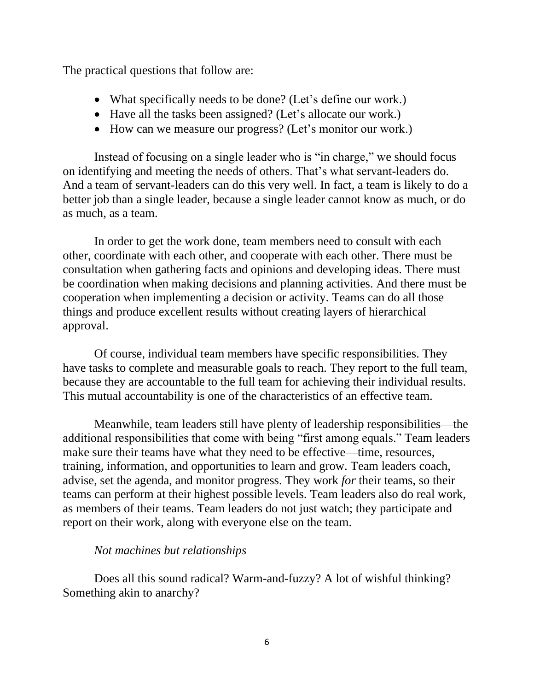The practical questions that follow are:

- What specifically needs to be done? (Let's define our work.)
- Have all the tasks been assigned? (Let's allocate our work.)
- How can we measure our progress? (Let's monitor our work.)

Instead of focusing on a single leader who is "in charge," we should focus on identifying and meeting the needs of others. That's what servant-leaders do. And a team of servant-leaders can do this very well. In fact, a team is likely to do a better job than a single leader, because a single leader cannot know as much, or do as much, as a team.

In order to get the work done, team members need to consult with each other, coordinate with each other, and cooperate with each other. There must be consultation when gathering facts and opinions and developing ideas. There must be coordination when making decisions and planning activities. And there must be cooperation when implementing a decision or activity. Teams can do all those things and produce excellent results without creating layers of hierarchical approval.

Of course, individual team members have specific responsibilities. They have tasks to complete and measurable goals to reach. They report to the full team, because they are accountable to the full team for achieving their individual results. This mutual accountability is one of the characteristics of an effective team.

Meanwhile, team leaders still have plenty of leadership responsibilities—the additional responsibilities that come with being "first among equals." Team leaders make sure their teams have what they need to be effective—time, resources, training, information, and opportunities to learn and grow. Team leaders coach, advise, set the agenda, and monitor progress. They work *for* their teams, so their teams can perform at their highest possible levels. Team leaders also do real work, as members of their teams. Team leaders do not just watch; they participate and report on their work, along with everyone else on the team.

## *Not machines but relationships*

Does all this sound radical? Warm-and-fuzzy? A lot of wishful thinking? Something akin to anarchy?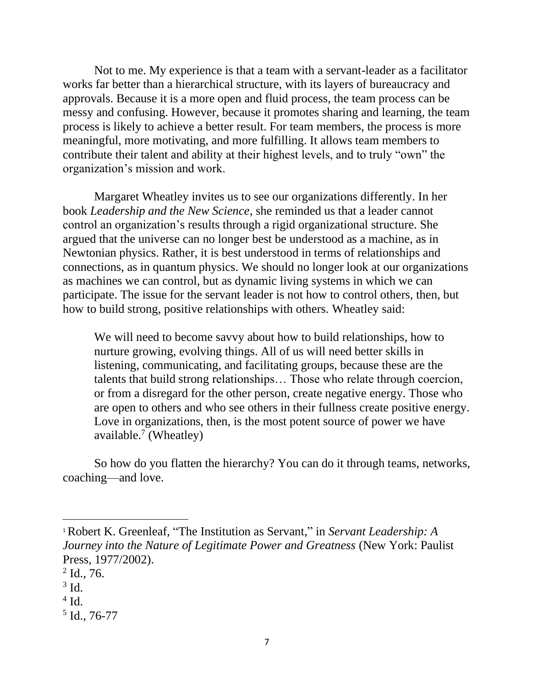Not to me. My experience is that a team with a servant-leader as a facilitator works far better than a hierarchical structure, with its layers of bureaucracy and approvals. Because it is a more open and fluid process, the team process can be messy and confusing. However, because it promotes sharing and learning, the team process is likely to achieve a better result. For team members, the process is more meaningful, more motivating, and more fulfilling. It allows team members to contribute their talent and ability at their highest levels, and to truly "own" the organization's mission and work.

Margaret Wheatley invites us to see our organizations differently. In her book *Leadership and the New Science*, she reminded us that a leader cannot control an organization's results through a rigid organizational structure. She argued that the universe can no longer best be understood as a machine, as in Newtonian physics. Rather, it is best understood in terms of relationships and connections, as in quantum physics. We should no longer look at our organizations as machines we can control, but as dynamic living systems in which we can participate. The issue for the servant leader is not how to control others, then, but how to build strong, positive relationships with others. Wheatley said:

We will need to become savvy about how to build relationships, how to nurture growing, evolving things. All of us will need better skills in listening, communicating, and facilitating groups, because these are the talents that build strong relationships… Those who relate through coercion, or from a disregard for the other person, create negative energy. Those who are open to others and who see others in their fullness create positive energy. Love in organizations, then, is the most potent source of power we have available.<sup>7</sup> (Wheatley)

So how do you flatten the hierarchy? You can do it through teams, networks, coaching—and love.

- $3$  Id.
- $4$  Id.
- 5 Id., 76-77

<sup>1</sup>Robert K. Greenleaf, "The Institution as Servant," in *Servant Leadership: A Journey into the Nature of Legitimate Power and Greatness* (New York: Paulist Press, 1977/2002).

 $2$  Id., 76.